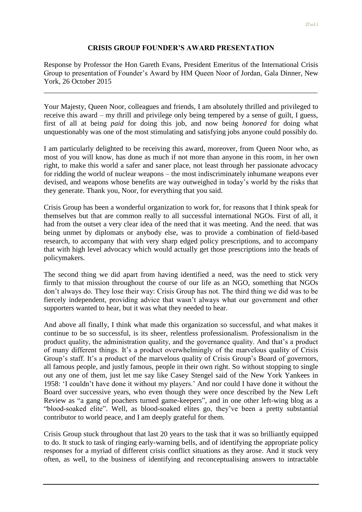## **CRISIS GROUP FOUNDER'S AWARD PRESENTATION**

Response by Professor the Hon Gareth Evans, President Emeritus of the International Crisis Group to presentation of Founder"s Award by HM Queen Noor of Jordan, Gala Dinner, New York, 26 October 2015

\_\_\_\_\_\_\_\_\_\_\_\_\_\_\_\_\_\_\_\_\_\_\_\_\_\_\_\_\_\_\_\_\_\_\_\_\_\_\_\_\_\_\_\_\_\_\_\_\_\_\_\_\_\_\_\_\_\_\_\_\_\_\_\_\_\_\_\_\_\_\_\_\_\_\_

Your Majesty, Queen Noor, colleagues and friends, I am absolutely thrilled and privileged to receive this award – my thrill and privilege only being tempered by a sense of guilt, I guess, first of all at being *paid* for doing this job, and now being *honored* for doing what unquestionably was one of the most stimulating and satisfying jobs anyone could possibly do.

I am particularly delighted to be receiving this award, moreover, from Queen Noor who, as most of you will know, has done as much if not more than anyone in this room, in her own right, to make this world a safer and saner place, not least through her passionate advocacy for ridding the world of nuclear weapons – the most indiscriminately inhumane weapons ever devised, and weapons whose benefits are way outweighed in today"s world by the risks that they generate. Thank you, Noor, for everything that you said.

Crisis Group has been a wonderful organization to work for, for reasons that I think speak for themselves but that are common really to all successful international NGOs. First of all, it had from the outset a very clear idea of the need that it was meeting. And the need. that was being unmet by diplomats or anybody else, was to provide a combination of field-based research, to accompany that with very sharp edged policy prescriptions, and to accompany that with high level advocacy which would actually get those prescriptions into the heads of policymakers.

The second thing we did apart from having identified a need, was the need to stick very firmly to that mission throughout the course of our life as an NGO, something that NGOs don"t always do. They lose their way: Crisis Group has not. The third thing we did was to be fiercely independent, providing advice that wasn"t always what our government and other supporters wanted to hear, but it was what they needed to hear.

And above all finally, I think what made this organization so successful, and what makes it continue to be so successful, is its sheer, relentless professionalism. Professionalism in the product quality, the administration quality, and the governance quality. And that"s a product of many different things. It's a product overwhelmingly of the marvelous quality of Crisis Group's staff. It's a product of the marvelous quality of Crisis Group's Board of governors, all famous people, and justly famous, people in their own right. So without stopping to single out any one of them, just let me say like Casey Stengel said of the New York Yankees in 1958: "I couldn"t have done it without my players." And nor could I have done it without the Board over successive years, who even though they were once described by the New Left Review as "a gang of poachers turned game-keepers", and in one other left-wing blog as a "blood-soaked elite". Well, as blood-soaked elites go, they"ve been a pretty substantial contributor to world peace, and I am deeply grateful for them.

Crisis Group stuck throughout that last 20 years to the task that it was so brilliantly equipped to do. It stuck to task of ringing early-warning bells, and of identifying the appropriate policy responses for a myriad of different crisis conflict situations as they arose. And it stuck very often, as well, to the business of identifying and reconceptualising answers to intractable